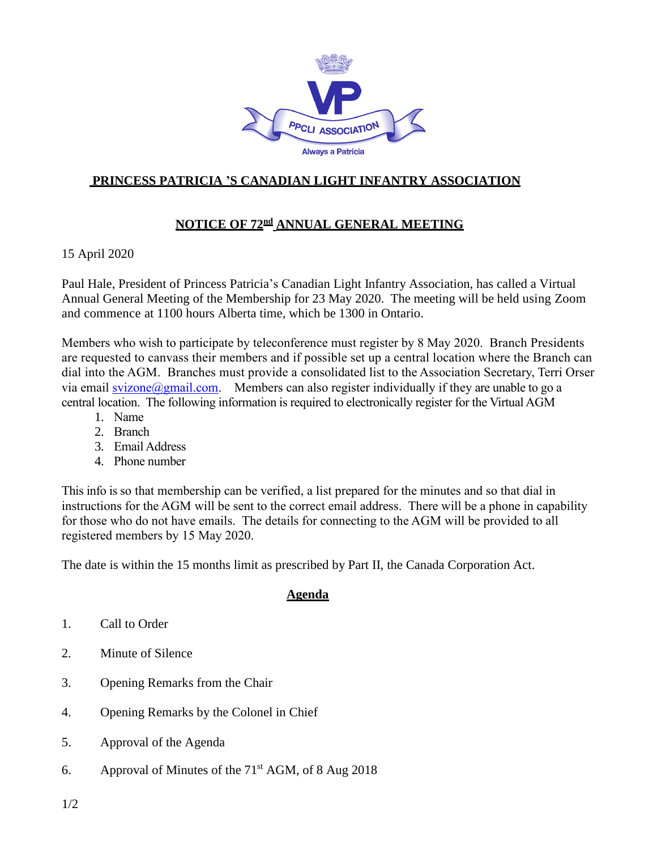

## **PRINCESS PATRICIA 'S CANADIAN LIGHT INFANTRY ASSOCIATION**

## <code>NOTICE OF 72 $^{\tt nd}$  ANNUAL GENERAL MEETING</code>

15 April 2020

Paul Hale, President of Princess Patricia's Canadian Light Infantry Association, has called a Virtual Annual General Meeting of the Membership for 23 May 2020. The meeting will be held using Zoom and commence at 1100 hours Alberta time, which be 1300 in Ontario.

Members who wish to participate by teleconference must register by 8 May 2020. Branch Presidents are requested to canvass their members and if possible set up a central location where the Branch can dial into the AGM. Branches must provide a consolidated list to the Association Secretary, Terri Orser via email [svizone@gmail.com.](mailto:svizone@gmail.com) Members can also register individually if they are unable to go a central location. The following information is required to electronically register for the Virtual AGM

- 1. Name
- 2. Branch
- 3. Email Address
- 4. Phone number

This info is so that membership can be verified, a list prepared for the minutes and so that dial in instructions for the AGM will be sent to the correct email address. There will be a phone in capability for those who do not have emails. The details for connecting to the AGM will be provided to all registered members by 15 May 2020.

The date is within the 15 months limit as prescribed by Part II, the Canada Corporation Act.

## **Agenda**

- 1. Call to Order
- 2. Minute of Silence
- 3. Opening Remarks from the Chair
- 4. Opening Remarks by the Colonel in Chief
- 5. Approval of the Agenda
- 6. Approval of Minutes of the 71 st AGM, of 8 Aug 2018

1/2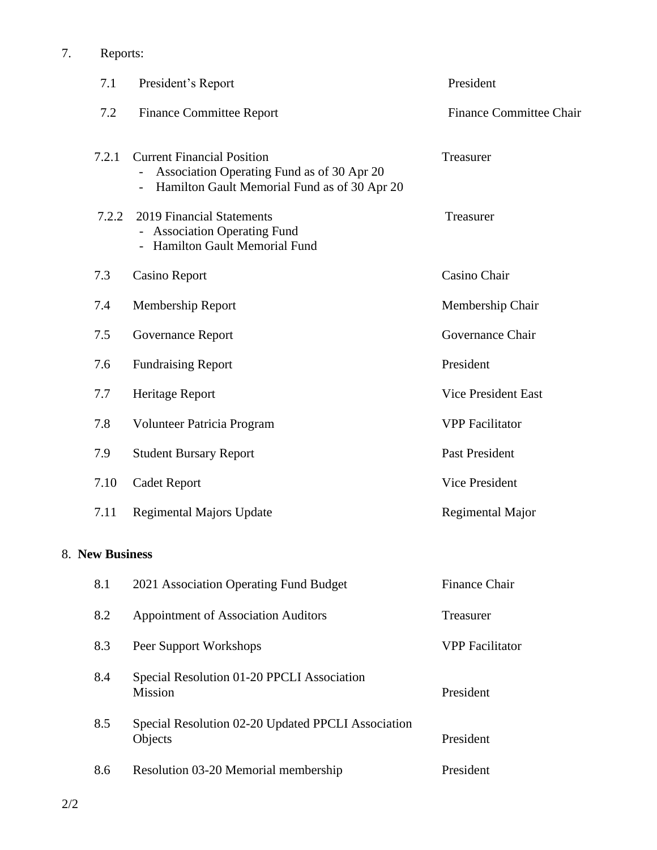|                     | 7.1   | President's Report                                                                                                              | President                      |  |  |
|---------------------|-------|---------------------------------------------------------------------------------------------------------------------------------|--------------------------------|--|--|
|                     | 7.2   | <b>Finance Committee Report</b>                                                                                                 | <b>Finance Committee Chair</b> |  |  |
|                     | 7.2.1 | <b>Current Financial Position</b><br>Association Operating Fund as of 30 Apr 20<br>Hamilton Gault Memorial Fund as of 30 Apr 20 | Treasurer                      |  |  |
|                     | 7.2.2 | 2019 Financial Statements<br>- Association Operating Fund<br>- Hamilton Gault Memorial Fund                                     | Treasurer                      |  |  |
|                     | 7.3   | <b>Casino Report</b>                                                                                                            | Casino Chair                   |  |  |
|                     | 7.4   | Membership Report                                                                                                               | Membership Chair               |  |  |
|                     | 7.5   | <b>Governance Report</b>                                                                                                        | Governance Chair               |  |  |
|                     | 7.6   | <b>Fundraising Report</b>                                                                                                       | President                      |  |  |
|                     | 7.7   | Heritage Report                                                                                                                 | <b>Vice President East</b>     |  |  |
|                     | 7.8   | Volunteer Patricia Program                                                                                                      | <b>VPP</b> Facilitator         |  |  |
|                     | 7.9   | <b>Student Bursary Report</b>                                                                                                   | Past President                 |  |  |
|                     | 7.10  | <b>Cadet Report</b>                                                                                                             | <b>Vice President</b>          |  |  |
|                     | 7.11  | <b>Regimental Majors Update</b>                                                                                                 | Regimental Major               |  |  |
| <b>New Business</b> |       |                                                                                                                                 |                                |  |  |
|                     | 8.1   | 2021 Association Operating Fund Budget                                                                                          | <b>Finance Chair</b>           |  |  |
|                     | 8.2   | Appointment of Association Auditors                                                                                             | Treasurer                      |  |  |
|                     | 8.3   | Peer Support Workshops                                                                                                          | <b>VPP</b> Facilitator         |  |  |
|                     | 8.4   | Special Resolution 01-20 PPCLI Association<br>Mission                                                                           | President                      |  |  |
|                     | 8.5   | Special Resolution 02-20 Updated PPCLI Association<br>Objects                                                                   | President                      |  |  |
|                     | 8.6   | Resolution 03-20 Memorial membership                                                                                            | President                      |  |  |
|                     |       |                                                                                                                                 |                                |  |  |

8. **New Business**